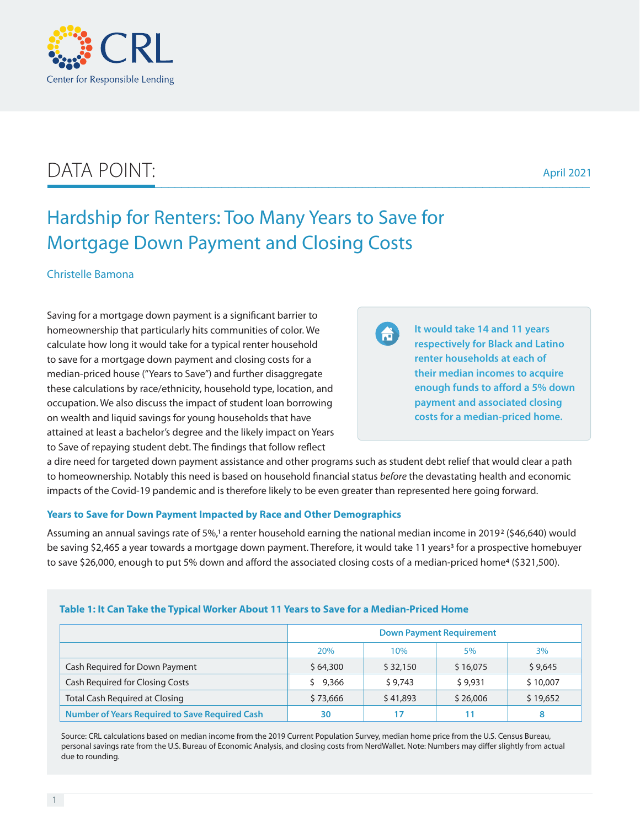

## DATA POINT: ––––––––––––––––––––––––––––––––––––––––––––––––––––––––––––––––––––––––––––––––– April 2021

# Hardship for Renters: Too Many Years to Save for Mortgage Down Payment and Closing Costs

Christelle Bamona

Saving for a mortgage down payment is a significant barrier to homeownership that particularly hits communities of color. We calculate how long it would take for a typical renter household to save for a mortgage down payment and closing costs for a median-priced house ("Years to Save") and further disaggregate these calculations by race/ethnicity, household type, location, and occupation. We also discuss the impact of student loan borrowing on wealth and liquid savings for young households that have attained at least a bachelor's degree and the likely impact on Years to Save of repaying student debt. The findings that follow reflect

**It would take 14 and 11 years**   $\mathbf{A}$ **respectively for Black and Latino renter households at each of their median incomes to acquire enough funds to afford a 5% down payment and associated closing costs for a median-priced home.**

a dire need for targeted down payment assistance and other programs such as student debt relief that would clear a path to homeownership. Notably this need is based on household financial status *before* the devastating health and economic impacts of the Covid-19 pandemic and is therefore likely to be even greater than represented here going forward.

#### **Years to Save for Down Payment Impacted by Race and Other Demographics**

Assuming an annual savings rate of 5%,<sup>1</sup> a renter household earning the national median income in 2019<sup>2</sup> (\$46,640) would be saving \$2,465 a year towards a mortgage down payment. Therefore, it would take 11 years<sup>3</sup> for a prospective homebuyer to save \$26,000, enough to put 5% down and afford the associated closing costs of a median-priced home<sup>4</sup> (\$321,500).

## 20% 10% 5% 3% Cash Required for Down Payment **1996 1996 5 16,075 5 16,075 5 9,645 64,300 5 16,075 645** Cash Required for Closing Costs **8 10,007** \$ 9,366 \$ 9,743 \$ 9,931 \$ 10,007 Total Cash Required at Closing Total Cash Required at Closing Total Assessment Cash Required at Closing Total A **Number of Years Required to Save Required Cash 17 10 11 11 11 11 8 Down Payment Requirement**

#### **Table 1: It Can Take the Typical Worker About 11 Years to Save for a Median-Priced Home**

Source: CRL calculations based on median income from the 2019 Current Population Survey, median home price from the U.S. Census Bureau, personal savings rate from the U.S. Bureau of Economic Analysis, and closing costs from NerdWallet. Note: Numbers may differ slightly from actual due to rounding.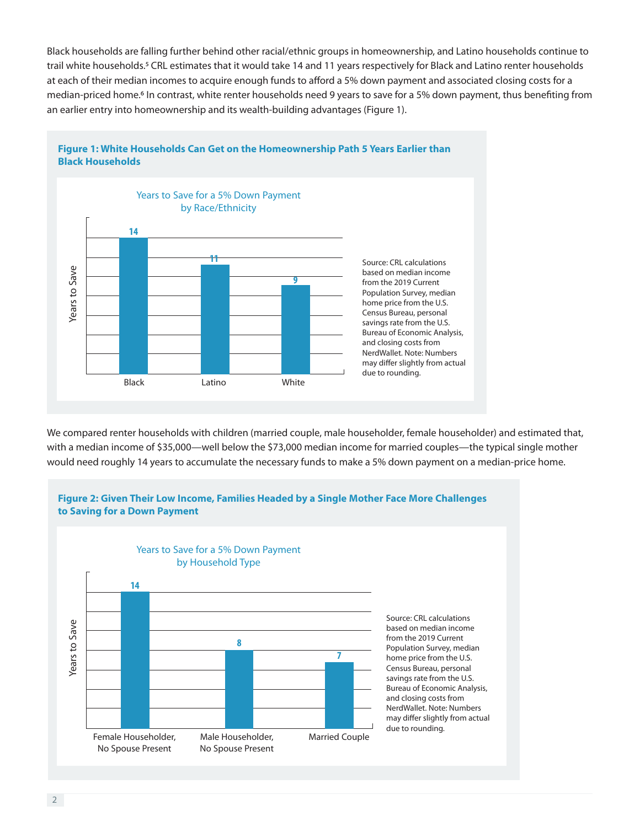Black households are falling further behind other racial/ethnic groups in homeownership, and Latino households continue to trail white households.<sup>5</sup> CRL estimates that it would take 14 and 11 years respectively for Black and Latino renter households at each of their median incomes to acquire enough funds to afford a 5% down payment and associated closing costs for a median-priced home.<sup>6</sup> In contrast, white renter households need 9 years to save for a 5% down payment, thus benefiting from an earlier entry into homeownership and its wealth-building advantages (Figure 1).





We compared renter households with children (married couple, male householder, female householder) and estimated that, with a median income of \$35,000—well below the \$73,000 median income for married couples—the typical single mother would need roughly 14 years to accumulate the necessary funds to make a 5% down payment on a median-price home.

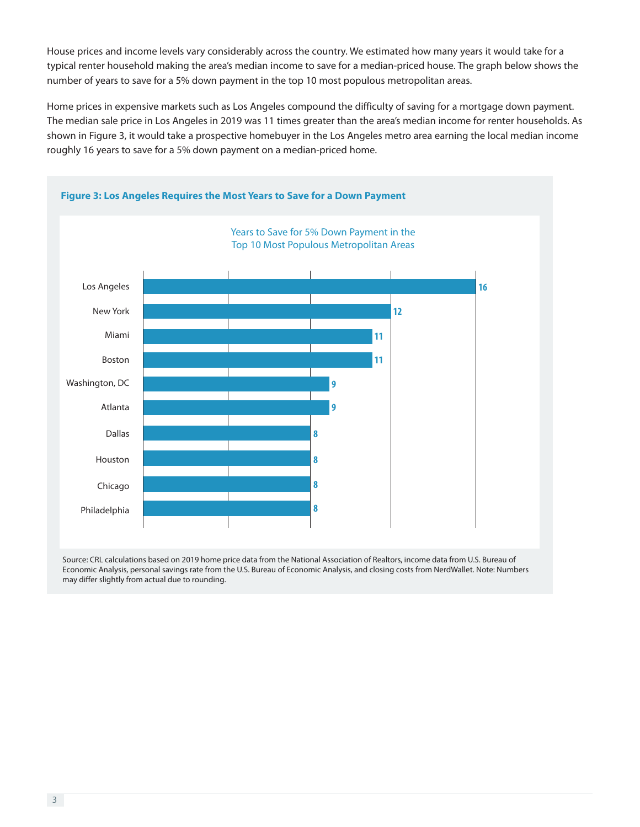House prices and income levels vary considerably across the country. We estimated how many years it would take for a typical renter household making the area's median income to save for a median-priced house. The graph below shows the number of years to save for a 5% down payment in the top 10 most populous metropolitan areas.

Home prices in expensive markets such as Los Angeles compound the difficulty of saving for a mortgage down payment. The median sale price in Los Angeles in 2019 was 11 times greater than the area's median income for renter households. As shown in Figure 3, it would take a prospective homebuyer in the Los Angeles metro area earning the local median income roughly 16 years to save for a 5% down payment on a median-priced home.



Source: CRL calculations based on 2019 home price data from the National Association of Realtors, income data from U.S. Bureau of Economic Analysis, personal savings rate from the U.S. Bureau of Economic Analysis, and closing costs from NerdWallet. Note: Numbers may differ slightly from actual due to rounding.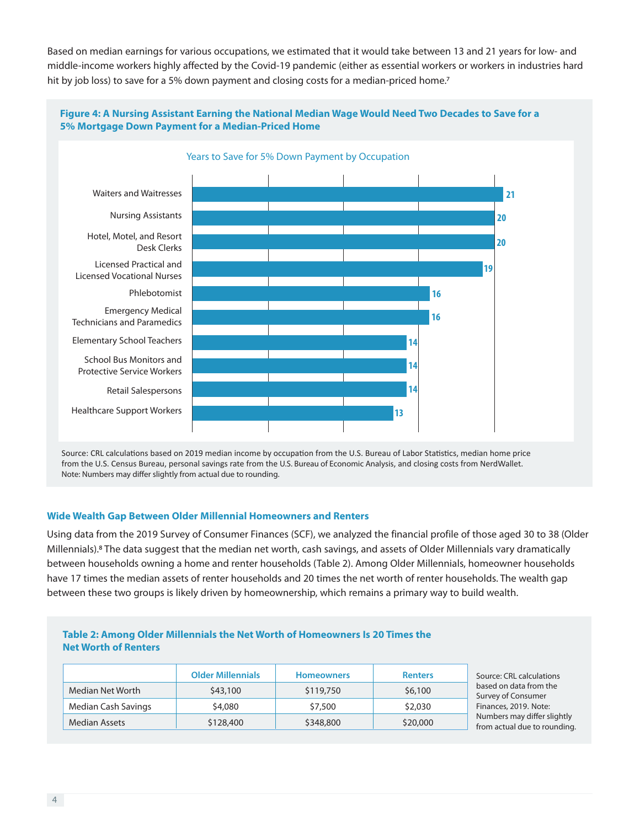Based on median earnings for various occupations, we estimated that it would take between 13 and 21 years for low- and middle-income workers highly affected by the Covid-19 pandemic (either as essential workers or workers in industries hard hit by job loss) to save for a 5% down payment and closing costs for a median-priced home.<sup>7</sup>



Source: CRL calculations based on 2019 median income by occupation from the U.S. Bureau of Labor Statistics, median home price from the U.S. Census Bureau, personal savings rate from the U.S. Bureau of Economic Analysis, and closing costs from NerdWallet. Note: Numbers may differ slightly from actual due to rounding.

#### **Wide Wealth Gap Between Older Millennial Homeowners and Renters**

Using data from the 2019 Survey of Consumer Finances (SCF), we analyzed the financial profile of those aged 30 to 38 (Older Millennials).8 The data suggest that the median net worth, cash savings, and assets of Older Millennials vary dramatically between households owning a home and renter households (Table 2). Among Older Millennials, homeowner households have 17 times the median assets of renter households and 20 times the net worth of renter households. The wealth gap between these two groups is likely driven by homeownership, which remains a primary way to build wealth.

#### **Table 2: Among Older Millennials the Net Worth of Homeowners Is 20 Times the Net Worth of Renters**

|                     | <b>Older Millennials</b> | <b>Homeowners</b> | <b>Renters</b> | Source: CRL calculations                                              |
|---------------------|--------------------------|-------------------|----------------|-----------------------------------------------------------------------|
| Median Net Worth    | \$43,100                 | \$119,750         | \$6,100        | based on data from the<br>Survey of Consumer<br>Finances, 2019. Note: |
| Median Cash Savings | \$4,080                  | \$7,500           | \$2,030        |                                                                       |
| Median Assets       | \$128,400                | \$348,800         | \$20,000       | Numbers may differ slightly<br>from actual due to rounding            |

to rounding.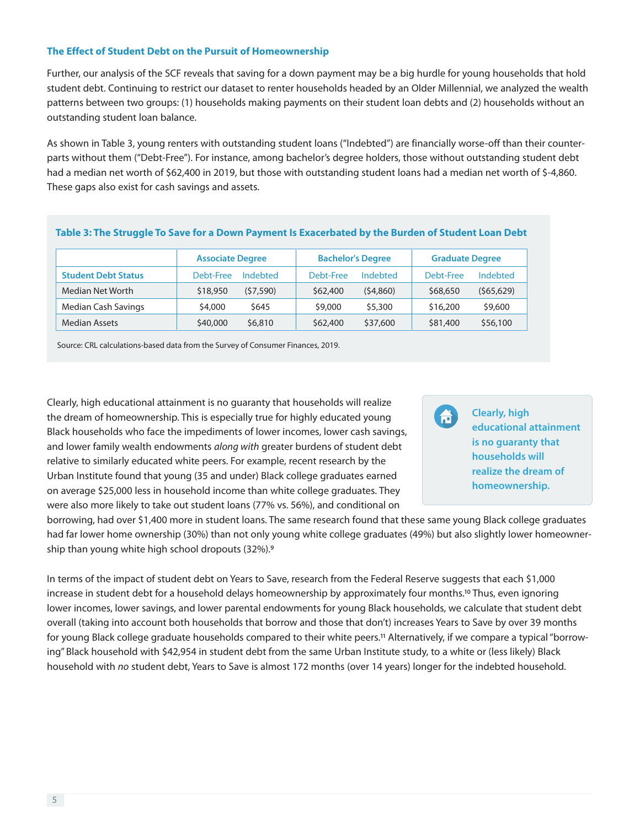#### **The Effect of Student Debt on the Pursuit of Homeownership**

Further, our analysis of the SCF reveals that saving for a down payment may be a big hurdle for young households that hold student debt. Continuing to restrict our dataset to renter households headed by an Older Millennial, we analyzed the wealth patterns between two groups: (1) households making payments on their student loan debts and (2) households without an outstanding student loan balance.

As shown in Table 3, young renters with outstanding student loans ("Indebted") are financially worse-off than their counterparts without them ("Debt-Free"). For instance, among bachelor's degree holders, those without outstanding student debt had a median net worth of \$62,400 in 2019, but those with outstanding student loans had a median net worth of \$-4,860. These gaps also exist for cash savings and assets.

|                            | <b>Associate Degree</b> |           | <b>Bachelor's Degree</b> |          | <b>Graduate Degree</b> |            |
|----------------------------|-------------------------|-----------|--------------------------|----------|------------------------|------------|
| <b>Student Debt Status</b> | Debt-Free               | Indebted  | Debt-Free                | Indebted | Debt-Free              | Indebted   |
| Median Net Worth           | \$18,950                | (57, 590) | \$62,400                 | (54,860) | \$68,650               | (565, 629) |
| <b>Median Cash Savings</b> | \$4,000                 | \$645     | \$9,000                  | \$5,300  | \$16,200               | \$9,600    |
| <b>Median Assets</b>       | \$40,000                | \$6,810   | \$62,400                 | \$37,600 | \$81,400               | \$56,100   |

#### **Table 3: The Struggle To Save for a Down Payment Is Exacerbated by the Burden of Student Loan Debt**

Source: CRL calculations-based data from the Survey of Consumer Finances, 2019.

Clearly, high educational attainment is no guaranty that households will realize the dream of homeownership. This is especially true for highly educated young Black households who face the impediments of lower incomes, lower cash savings, and lower family wealth endowments *along with* greater burdens of student debt relative to similarly educated white peers. For example, recent research by the Urban Institute found that young (35 and under) Black college graduates earned on average \$25,000 less in household income than white college graduates. They were also more likely to take out student loans (77% vs. 56%), and conditional on

**Clearly, high educational attainment is no guaranty that households will realize the dream of homeownership.** 

 $\bigoplus$ 

borrowing, had over \$1,400 more in student loans. The same research found that these same young Black college graduates had far lower home ownership (30%) than not only young white college graduates (49%) but also slightly lower homeownership than young white high school dropouts (32%).9

In terms of the impact of student debt on Years to Save, research from the Federal Reserve suggests that each \$1,000 increase in student debt for a household delays homeownership by approximately four months.10 Thus, even ignoring lower incomes, lower savings, and lower parental endowments for young Black households, we calculate that student debt overall (taking into account both households that borrow and those that don't) increases Years to Save by over 39 months for young Black college graduate households compared to their white peers.<sup>11</sup> Alternatively, if we compare a typical "borrowing" Black household with \$42,954 in student debt from the same Urban Institute study, to a white or (less likely) Black household with *no* student debt, Years to Save is almost 172 months (over 14 years) longer for the indebted household.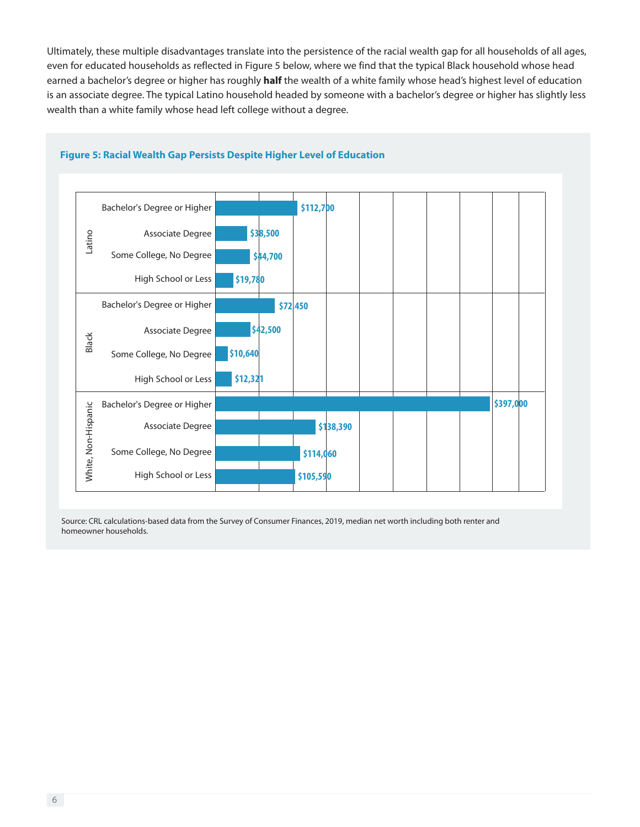Ultimately, these multiple disadvantages translate into the persistence of the racial wealth gap for all households of all ages, even for educated households as reflected in Figure 5 below, where we find that the typical Black household whose head earned a bachelor's degree or higher has roughly **half** the wealth of a white family whose head's highest level of education is an associate degree. The typical Latino household headed by someone with a bachelor's degree or higher has slightly less wealth than a white family whose head left college without a degree.



#### **Figure 5: Racial Wealth Gap Persists Despite Higher Level of Education**

Source: CRL calculations-based data from the Survey of Consumer Finances, 2019, median net worth including both renter and homeowner households.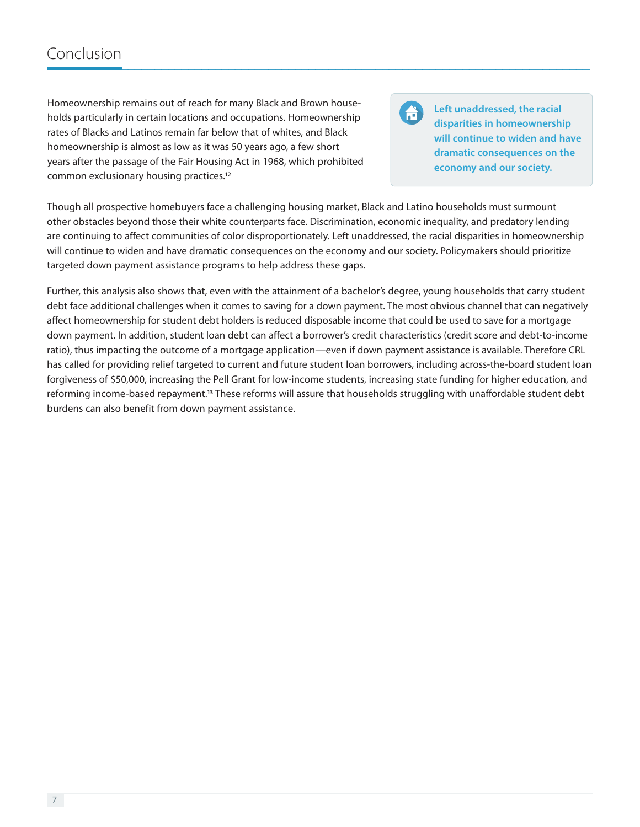Homeownership remains out of reach for many Black and Brown households particularly in certain locations and occupations. Homeownership rates of Blacks and Latinos remain far below that of whites, and Black homeownership is almost as low as it was 50 years ago, a few short years after the passage of the Fair Housing Act in 1968, which prohibited common exclusionary housing practices.12

 $\bigoplus$ 

**Left unaddressed, the racial disparities in homeownership will continue to widen and have dramatic consequences on the economy and our society.**

Though all prospective homebuyers face a challenging housing market, Black and Latino households must surmount other obstacles beyond those their white counterparts face. Discrimination, economic inequality, and predatory lending are continuing to affect communities of color disproportionately. Left unaddressed, the racial disparities in homeownership will continue to widen and have dramatic consequences on the economy and our society. Policymakers should prioritize targeted down payment assistance programs to help address these gaps.

Further, this analysis also shows that, even with the attainment of a bachelor's degree, young households that carry student debt face additional challenges when it comes to saving for a down payment. The most obvious channel that can negatively affect homeownership for student debt holders is reduced disposable income that could be used to save for a mortgage down payment. In addition, student loan debt can affect a borrower's credit characteristics (credit score and debt-to-income ratio), thus impacting the outcome of a mortgage application—even if down payment assistance is available. Therefore CRL has called for providing relief targeted to current and future student loan borrowers, including across-the-board student loan forgiveness of \$50,000, increasing the Pell Grant for low-income students, increasing state funding for higher education, and reforming income-based repayment.<sup>13</sup> These reforms will assure that households struggling with unaffordable student debt burdens can also benefit from down payment assistance.